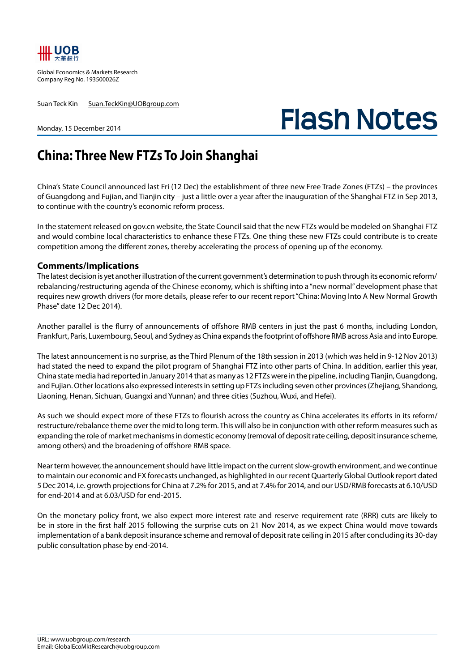

Global Economics & Markets Research Company Reg No. 193500026Z

Suan Teck Kin Suan.TeckKin@UOBgroup.com

## **Flash Notes**

## Monday, 15 December 2014

## **China: Three New FTZs To Join Shanghai**

China's State Council announced last Fri (12 Dec) the establishment of three new Free Trade Zones (FTZs) – the provinces of Guangdong and Fujian, and Tianjin city – just a little over a year after the inauguration of the Shanghai FTZ in Sep 2013, to continue with the country's economic reform process.

In the statement released on gov.cn website, the State Council said that the new FTZs would be modeled on Shanghai FTZ and would combine local characteristics to enhance these FTZs. One thing these new FTZs could contribute is to create competition among the different zones, thereby accelerating the process of opening up of the economy.

## **Comments/Implications**

The latest decision is yet another illustration of the current government's determination to push through its economic reform/ rebalancing/restructuring agenda of the Chinese economy, which is shifting into a "new normal" development phase that requires new growth drivers (for more details, please refer to our recent report "China: Moving Into A New Normal Growth Phase" date 12 Dec 2014).

Another parallel is the flurry of announcements of offshore RMB centers in just the past 6 months, including London, Frankfurt, Paris, Luxembourg, Seoul, and Sydney as China expands the footprint of offshore RMB across Asia and into Europe.

The latest announcement is no surprise, as the Third Plenum of the 18th session in 2013 (which was held in 9-12 Nov 2013) had stated the need to expand the pilot program of Shanghai FTZ into other parts of China. In addition, earlier this year, China state media had reported in January 2014 that as many as 12 FTZs were in the pipeline, including Tianjin, Guangdong, and Fujian. Other locations also expressed interests in setting up FTZs including seven other provinces (Zhejiang, Shandong, Liaoning, Henan, Sichuan, Guangxi and Yunnan) and three cities (Suzhou, Wuxi, and Hefei).

As such we should expect more of these FTZs to flourish across the country as China accelerates its efforts in its reform/ restructure/rebalance theme over the mid to long term. This will also be in conjunction with other reform measures such as expanding the role of market mechanisms in domestic economy (removal of deposit rate ceiling, deposit insurance scheme, among others) and the broadening of offshore RMB space.

Near term however, the announcement should have little impact on the current slow-growth environment, and we continue to maintain our economic and FX forecasts unchanged, as highlighted in our recent Quarterly Global Outlook report dated 5 Dec 2014, i.e. growth projections for China at 7.2% for 2015, and at 7.4% for 2014, and our USD/RMB forecasts at 6.10/USD for end-2014 and at 6.03/USD for end-2015.

On the monetary policy front, we also expect more interest rate and reserve requirement rate (RRR) cuts are likely to be in store in the first half 2015 following the surprise cuts on 21 Nov 2014, as we expect China would move towards implementation of a bank deposit insurance scheme and removal of deposit rate ceiling in 2015 after concluding its 30-day public consultation phase by end-2014.